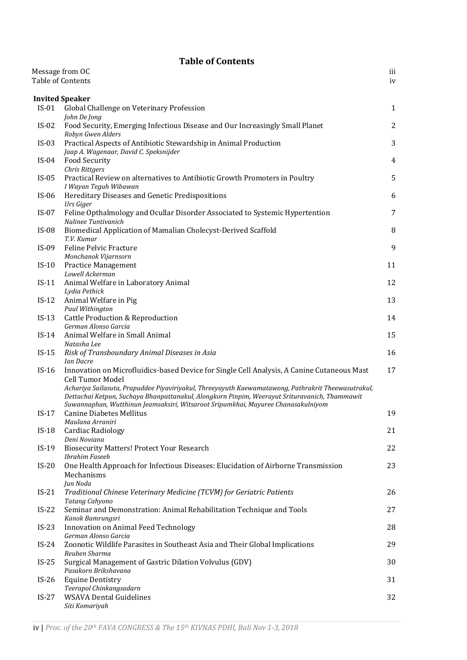## **Table of Contents**

|         | Message from OC<br>Table of Contents                                                                                                                                                                                                                                                     | iii<br>iv      |
|---------|------------------------------------------------------------------------------------------------------------------------------------------------------------------------------------------------------------------------------------------------------------------------------------------|----------------|
|         |                                                                                                                                                                                                                                                                                          |                |
|         | <b>Invited Speaker</b>                                                                                                                                                                                                                                                                   |                |
| $IS-01$ | Global Challenge on Veterinary Profession<br>John De Jong                                                                                                                                                                                                                                | $\mathbf{1}$   |
| $IS-02$ | Food Security, Emerging Infectious Disease and Our Increasingly Small Planet<br>Robyn Gwen Alders                                                                                                                                                                                        | 2              |
| $IS-03$ | Practical Aspects of Antibiotic Stewardship in Animal Production<br>Jaap A. Wagenaar, David C. Speksnijder                                                                                                                                                                               | 3              |
| $IS-04$ | Food Security<br><b>Chris Rittgers</b>                                                                                                                                                                                                                                                   | $\overline{4}$ |
| $IS-05$ | Practical Review on alternatives to Antibiotic Growth Promoters in Poultry<br>I Wayan Teguh Wibawan                                                                                                                                                                                      | 5              |
| $IS-06$ | Hereditary Diseases and Genetic Predispositions<br>Urs Giger                                                                                                                                                                                                                             | 6              |
| $IS-07$ | Feline Opthalmology and Ocullar Disorder Associated to Systemic Hypertention<br>Nalinee Tuntivanich                                                                                                                                                                                      | 7              |
| $IS-08$ | Biomedical Application of Mamalian Cholecyst-Derived Scaffold<br>T.V. Kumar                                                                                                                                                                                                              | 8              |
| $IS-09$ | <b>Feline Pelvic Fracture</b>                                                                                                                                                                                                                                                            | 9              |
| $IS-10$ | Monchanok Vijarnsorn<br><b>Practice Management</b>                                                                                                                                                                                                                                       | 11             |
| $IS-11$ | Lowell Ackerman<br>Animal Welfare in Laboratory Animal<br>Lydia Pethick                                                                                                                                                                                                                  | 12             |
| $IS-12$ | Animal Welfare in Pig<br>Paul Withington                                                                                                                                                                                                                                                 | 13             |
| $IS-13$ | <b>Cattle Production &amp; Reproduction</b><br>German Alonso Garcia                                                                                                                                                                                                                      | 14             |
| $IS-14$ | Animal Welfare in Small Animal<br>Natasha Lee                                                                                                                                                                                                                                            | 15             |
| $IS-15$ | Risk of Transboundary Animal Diseases in Asia<br>Ian Dacre                                                                                                                                                                                                                               | 16             |
| $IS-16$ | Innovation on Microfluidics-based Device for Single Cell Analysis, A Canine Cutaneous Mast<br><b>Cell Tumor Model</b>                                                                                                                                                                    | 17             |
|         | Achariya Sailasuta, Prapuddee Piyaviriyakul, Threeyayuth Kaewamatawong, Pathrakrit Theewasutrakul,<br>Dettachai Ketpun, Suchaya Bhanpattanakul, Alongkorn Pinpim, Weerayut Srituravanich, Thammawit<br>Suwannaphan, Wutthinun Jeamsaksiri, Witsaroot Sripumkhai, Mayuree Chanasakulniyom |                |
| $IS-17$ | <b>Canine Diabetes Mellitus</b><br>Maulana Arraniri                                                                                                                                                                                                                                      | 19             |
| $IS-18$ | Cardiac Radiology<br>Deni Noviana                                                                                                                                                                                                                                                        | 21             |
| $IS-19$ | <b>Biosecurity Matters! Protect Your Research</b><br>Ibrahim Faseeh                                                                                                                                                                                                                      | 22             |
| $IS-20$ | One Health Approach for Infectious Diseases: Elucidation of Airborne Transmission<br>Mechanisms<br>Jun Noda                                                                                                                                                                              | 23             |
| $IS-21$ | Traditional Chinese Veterinary Medicine (TCVM) for Geriatric Patients<br>Tatang Cahyono                                                                                                                                                                                                  | 26             |
| $IS-22$ | Seminar and Demonstration: Animal Rehabilitation Technique and Tools<br>Kanok Bamrungsri                                                                                                                                                                                                 | 27             |
| $IS-23$ | Innovation on Animal Feed Technology<br>German Alonso Garcia                                                                                                                                                                                                                             | 28             |
| $IS-24$ | Zoonotic Wildlife Parasites in Southeast Asia and Their Global Implications<br>Reuben Sharma                                                                                                                                                                                             | 29             |
| $IS-25$ | Surgical Management of Gastric Dilation Volvulus (GDV)<br>Pasakorn Brikshavana                                                                                                                                                                                                           | 30             |
| $IS-26$ | <b>Equine Dentistry</b>                                                                                                                                                                                                                                                                  | 31             |
| $IS-27$ | Teerapol Chinkangsadarn<br><b>WSAVA Dental Guidelines</b><br>Siti Komariyah                                                                                                                                                                                                              | 32             |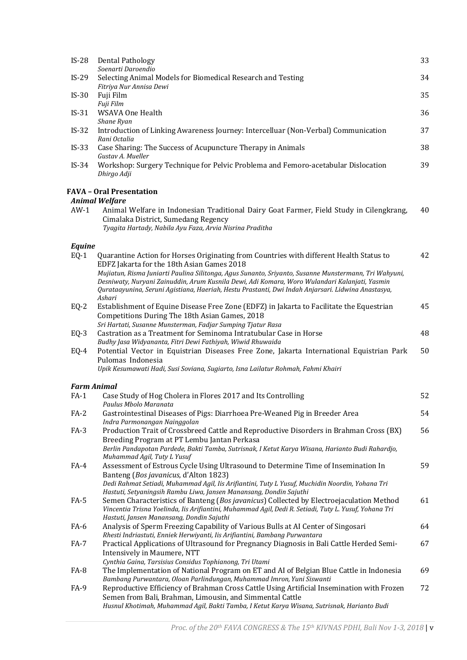| $IS-28$ | <b>Dental Pathology</b><br>Soenarti Daroendio                                                                                                                                                                                                                                                                                                                                                                                                         | 33 |
|---------|-------------------------------------------------------------------------------------------------------------------------------------------------------------------------------------------------------------------------------------------------------------------------------------------------------------------------------------------------------------------------------------------------------------------------------------------------------|----|
| $IS-29$ | Selecting Animal Models for Biomedical Research and Testing                                                                                                                                                                                                                                                                                                                                                                                           | 34 |
| $IS-30$ | Fitriya Nur Annisa Dewi<br>Fuji Film<br>Fuji Film                                                                                                                                                                                                                                                                                                                                                                                                     | 35 |
| $IS-31$ | WSAVA One Health                                                                                                                                                                                                                                                                                                                                                                                                                                      | 36 |
| $IS-32$ | Shane Ryan<br>Introduction of Linking Awareness Journey: Intercelluar (Non-Verbal) Communication<br>Rani Octalia                                                                                                                                                                                                                                                                                                                                      | 37 |
| $IS-33$ | Case Sharing: The Success of Acupuncture Therapy in Animals<br>Gustav A. Mueller                                                                                                                                                                                                                                                                                                                                                                      | 38 |
| $IS-34$ | Workshop: Surgery Technique for Pelvic Problema and Femoro-acetabular Dislocation<br>Dhirgo Adji                                                                                                                                                                                                                                                                                                                                                      | 39 |
|         | <b>FAVA - Oral Presentation</b>                                                                                                                                                                                                                                                                                                                                                                                                                       |    |
| $AW-1$  | <b>Animal Welfare</b><br>Animal Welfare in Indonesian Traditional Dairy Goat Farmer, Field Study in Cilengkrang,<br>Cimalaka District, Sumedang Regency<br>Tyagita Hartady, Nabila Ayu Faza, Arvia Nisrina Praditha                                                                                                                                                                                                                                   | 40 |
| Equine  |                                                                                                                                                                                                                                                                                                                                                                                                                                                       |    |
| $EQ-1$  | Quarantine Action for Horses Originating from Countries with different Health Status to<br>EDFZ Jakarta for the 18th Asian Games 2018<br>Mujiatun, Risma Juniarti Paulina Silitonga, Agus Sunanto, Sriyanto, Susanne Munstermann, Tri Wahyuni,<br>Desniwaty, Nuryani Zainuddin, Arum Kusnila Dewi, Adi Komara, Woro Wulandari Kalanjati, Yasmin<br>Qurataayunina, Seruni Agistiana, Haeriah, Hestu Prastanti, Dwi Indah Anjarsari. Lidwina Anastasya, | 42 |
| $EQ-2$  | Ashari<br>Establishment of Equine Disease Free Zone (EDFZ) in Jakarta to Facilitate the Equestrian<br>Competitions During The 18th Asian Games, 2018                                                                                                                                                                                                                                                                                                  | 45 |
| $EQ-3$  | Sri Hartati, Susanne Munsterman, Fadjar Sumping Tjatur Rasa<br>Castration as a Treatment for Seminoma Intratubular Case in Horse                                                                                                                                                                                                                                                                                                                      | 48 |
| $EQ-4$  | Budhy Jasa Widyananta, Fitri Dewi Fathiyah, Wiwid Rhuwaida<br>Potential Vector in Equistrian Diseases Free Zone, Jakarta International Equistrian Park<br>Pulomas Indonesia<br>Upik Kesumawati Hadi, Susi Soviana, Sugiarto, Isna Lailatur Rohmah, Fahmi Khairi                                                                                                                                                                                       | 50 |
|         |                                                                                                                                                                                                                                                                                                                                                                                                                                                       |    |
| $FA-1$  | <b>Farm Animal</b><br>Case Study of Hog Cholera in Flores 2017 and Its Controlling                                                                                                                                                                                                                                                                                                                                                                    | 52 |
| $FA-2$  | Paulus Mbolo Maranata<br>Gastrointestinal Diseases of Pigs: Diarrhoea Pre-Weaned Pig in Breeder Area<br>Indra Parmonangan Nainggolan                                                                                                                                                                                                                                                                                                                  | 54 |
| $FA-3$  | Production Trait of Crossbreed Cattle and Reproductive Disorders in Brahman Cross (BX)<br>Breeding Program at PT Lembu Jantan Perkasa<br>Berlin Pandapotan Pardede, Bakti Tamba, Sutrisnak, I Ketut Karya Wisana, Harianto Budi Rahardjo,<br>Muhammad Agil, Tuty L Yusuf                                                                                                                                                                              | 56 |
| $FA-4$  | Assessment of Estrous Cycle Using Ultrasound to Determine Time of Insemination In<br>Banteng (Bos javanicus, d'Alton 1823)<br>Dedi Rahmat Setiadi, Muhammad Agil, Iis Arifiantini, Tuty L Yusuf, Muchidin Noordin, Yohana Tri<br>Hastuti, Setyaningsih Rambu Liwa, Jansen Manansang, Dondin Sajuthi                                                                                                                                                   | 59 |
| $FA-5$  | Semen Characteristics of Banteng (Bos javanicus) Collected by Electroejaculation Method<br>Vincentia Trisna Yoelinda, Iis Arifiantini, Muhammad Agil, Dedi R. Setiadi, Tuty L. Yusuf, Yohana Tri<br>Hastuti, Jansen Manansang, Dondin Sajuthi                                                                                                                                                                                                         | 61 |
| FA-6    | Analysis of Sperm Freezing Capability of Various Bulls at AI Center of Singosari<br>Rhesti Indriastuti, Enniek Herwiyanti, Iis Arifiantini, Bambang Purwantara                                                                                                                                                                                                                                                                                        | 64 |
| FA-7    | Practical Applications of Ultrasound for Pregnancy Diagnosis in Bali Cattle Herded Semi-<br>Intensively in Maumere, NTT                                                                                                                                                                                                                                                                                                                               | 67 |
| FA-8    | Cynthia Gaina, Tarsisius Considus Tophianong, Tri Utami<br>The Implementation of National Program on ET and AI of Belgian Blue Cattle in Indonesia<br>Bambang Purwantara, Oloan Parlindungan, Muhammad Imron, Yuni Siswanti                                                                                                                                                                                                                           | 69 |
| FA-9    | Reproductive Efficiency of Brahman Cross Cattle Using Artificial Insemination with Frozen<br>Semen from Bali, Brahman, Limousin, and Simmental Cattle<br>Husnul Khotimah, Muhammad Agil, Bakti Tamba, I Ketut Karya Wisana, Sutrisnak, Harianto Budi                                                                                                                                                                                                  | 72 |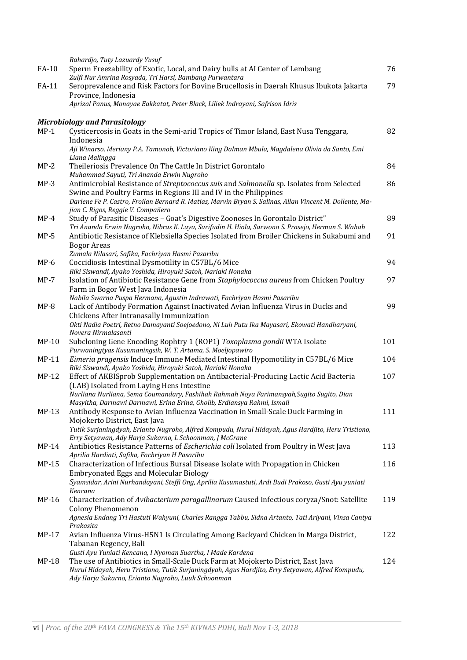|         | Rahardjo, Tuty Lazuardy Yusuf                                                                                                                                                         |     |
|---------|---------------------------------------------------------------------------------------------------------------------------------------------------------------------------------------|-----|
| FA-10   | Sperm Freezability of Exotic, Local, and Dairy bulls at AI Center of Lembang<br>Zulfi Nur Amrina Rosyada, Tri Harsi, Bambang Purwantara                                               | 76  |
| FA-11   | Seroprevalence and Risk Factors for Bovine Brucellosis in Daerah Khusus Ibukota Jakarta                                                                                               | 79  |
|         | Province, Indonesia                                                                                                                                                                   |     |
|         | Aprizal Panus, Monayae Eakkatat, Peter Black, Liliek Indrayani, Safrison Idris                                                                                                        |     |
|         | <b>Microbiology and Parasitology</b>                                                                                                                                                  |     |
| $MP-1$  | Cysticercosis in Goats in the Semi-arid Tropics of Timor Island, East Nusa Tenggara,                                                                                                  | 82  |
|         | Indonesia                                                                                                                                                                             |     |
|         | Aji Winarso, Meriany P.A. Tamonob, Victoriano King Dalman Mbula, Magdalena Olivia da Santo, Emi                                                                                       |     |
|         | Liana Malingga                                                                                                                                                                        |     |
| $MP-2$  | Theileriosis Prevalence On The Cattle In District Gorontalo                                                                                                                           | 84  |
| $MP-3$  | Muhammad Sayuti, Tri Ananda Erwin Nugroho                                                                                                                                             | 86  |
|         | Antimicrobial Resistance of Streptococcus suis and Salmonella sp. Isolates from Selected<br>Swine and Poultry Farms in Regions III and IV in the Philippines                          |     |
|         | Darlene Fe P. Castro, Froilan Bernard R. Matias, Marvin Bryan S. Salinas, Allan Vincent M. Dollente, Ma-                                                                              |     |
|         | jian C. Rigos, Reggie V. Compañero                                                                                                                                                    |     |
| $MP-4$  | Study of Parasitic Diseases - Goat's Digestive Zoonoses In Gorontalo District"                                                                                                        | 89  |
|         | Tri Ananda Erwin Nugroho, Nibras K. Laya, Sarifudin H. Hiola, Sarwono S. Prasejo, Herman S. Wahab                                                                                     |     |
| $MP-5$  | Antibiotic Resistance of Klebsiella Species Isolated from Broiler Chickens in Sukabumi and<br><b>Bogor Areas</b>                                                                      | 91  |
|         | Zumala Nilasari, Safika, Fachriyan Hasmi Pasaribu                                                                                                                                     |     |
| $MP-6$  | Coccidiosis Intestinal Dysmotility in C57BL/6 Mice                                                                                                                                    | 94  |
|         | Riki Siswandi, Ayako Yoshida, Hiroyuki Satoh, Nariaki Nonaka                                                                                                                          |     |
| $MP-7$  | Isolation of Antibiotic Resistance Gene from Staphylococcus aureus from Chicken Poultry                                                                                               | 97  |
|         | Farm in Bogor West Java Indonesia                                                                                                                                                     |     |
| $MP-8$  | Nabila Swarna Puspa Hermana, Agustin Indrawati, Fachriyan Hasmi Pasaribu<br>Lack of Antibody Formation Against Inactivated Avian Influenza Virus in Ducks and                         | 99  |
|         | Chickens After Intranasally Immunization                                                                                                                                              |     |
|         | Okti Nadia Poetri, Retno Damayanti Soejoedono, Ni Luh Putu Ika Mayasari, Ekowati Handharyani,                                                                                         |     |
|         | Novera Nirmalasanti                                                                                                                                                                   |     |
| $MP-10$ | Subcloning Gene Encoding Rophtry 1 (ROP1) Toxoplasma gondii WTA Isolate<br>Purwaningtyas Kusumaningsih, W. T. Artama, S. Moeljopawiro                                                 | 101 |
| $MP-11$ | Eimeria pragensis Induce Immune Mediated Intestinal Hypomotility in C57BL/6 Mice                                                                                                      | 104 |
|         | Riki Siswandi, Ayako Yoshida, Hiroyuki Satoh, Nariaki Nonaka                                                                                                                          |     |
| $MP-12$ | Effect of AKBISprob Supplementation on Antibacterial-Producing Lactic Acid Bacteria                                                                                                   | 107 |
|         | (LAB) Isolated from Laying Hens Intestine                                                                                                                                             |     |
|         | Nurliana Nurliana, Sema Coumandary, Fashihah Rahmah Noya Farimansyah, Sugito Sugito, Dian<br>Masyitha, Darmawi Darmawi, Erina Erina, Gholib, Erdiansya Rahmi, Ismail                  |     |
| $MP-13$ | Antibody Response to Avian Influenza Vaccination in Small-Scale Duck Farming in                                                                                                       | 111 |
|         | Mojokerto District, East Java                                                                                                                                                         |     |
|         | Tutik Surjaningdyah, Erianto Nugroho, Alfred Kompudu, Nurul Hidayah, Agus Hardjito, Heru Tristiono,                                                                                   |     |
|         | Erry Setyawan, Ady Harja Sukarno, L Schoonman, J McGrane                                                                                                                              |     |
| $MP-14$ | Antibiotics Resistance Patterns of Escherichia coli Isolated from Poultry in West Java<br>Aprilia Hardiati, Safika, Fachriyan H Pasaribu                                              | 113 |
| $MP-15$ | Characterization of Infectious Bursal Disease Isolate with Propagation in Chicken                                                                                                     | 116 |
|         | <b>Embryonated Eggs and Molecular Biology</b>                                                                                                                                         |     |
|         | Syamsidar, Arini Nurhandayani, Steffi Ong, Aprilia Kusumastuti, Ardi Budi Prakoso, Gusti Ayu yuniati                                                                                  |     |
|         | Kencana                                                                                                                                                                               |     |
| $MP-16$ | Characterization of Avibacterium paragallinarum Caused Infectious coryza/Snot: Satellite                                                                                              | 119 |
|         | <b>Colony Phenomenon</b><br>Agnesia Endang Tri Hastuti Wahyuni, Charles Rangga Tabbu, Sidna Artanto, Tati Ariyani, Vinsa Cantya                                                       |     |
|         | Prakasita                                                                                                                                                                             |     |
| $MP-17$ | Avian Influenza Virus-H5N1 Is Circulating Among Backyard Chicken in Marga District,                                                                                                   | 122 |
|         | Tabanan Regency, Bali                                                                                                                                                                 |     |
|         | Gusti Ayu Yuniati Kencana, I Nyoman Suartha, I Made Kardena                                                                                                                           |     |
| $MP-18$ | The use of Antibiotics in Small-Scale Duck Farm at Mojokerto District, East Java<br>Nurul Hidayah, Heru Tristiono, Tutik Surjaningdyah, Agus Hardjito, Erry Setyawan, Alfred Kompudu, | 124 |
|         | Ady Harja Sukarno, Erianto Nugroho, Luuk Schoonman                                                                                                                                    |     |
|         |                                                                                                                                                                                       |     |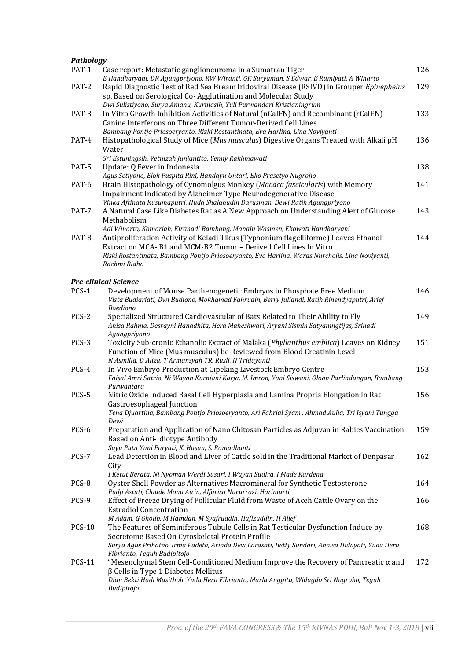| Pathology     |                                                                                                                                                                                                                                                                                                                                                                                      |     |
|---------------|--------------------------------------------------------------------------------------------------------------------------------------------------------------------------------------------------------------------------------------------------------------------------------------------------------------------------------------------------------------------------------------|-----|
| PAT-1         | Case report: Metastatic ganglioneuroma in a Sumatran Tiger<br>E Handharyani, DR Agungpriyono, RW Wiranti, GK Suryaman, S Edwar, E Rumiyati, A Winarto                                                                                                                                                                                                                                | 126 |
| PAT-2         | Rapid Diagnostic Test of Red Sea Bream Iridoviral Disease (RSIVD) in Grouper Epinephelus<br>sp. Based on Serological Co-Agglutination and Molecular Study<br>Dwi Sulistiyono, Surya Amanu, Kurniasih, Yuli Purwandari Kristianingrum                                                                                                                                                 | 129 |
| PAT-3         | In Vitro Growth Inhibition Activities of Natural (nCaIFN) and Recombinant (rCaIFN)<br>Canine Interferons on Three Different Tumor-Derived Cell Lines                                                                                                                                                                                                                                 | 133 |
| PAT-4         | Bambang Pontjo Priosoeryanto, Rizki Rostantinata, Eva Harlina, Lina Noviyanti<br>Histopathological Study of Mice (Mus musculus) Digestive Organs Treated with Alkali pH<br>Water                                                                                                                                                                                                     | 136 |
| PAT-5         | Sri Estuningsih, Vetnizah Juniantito, Yenny Rakhmawati<br>Update: Q Fever in Indonesia<br>Agus Setiyono, Elok Puspita Rini, Handayu Untari, Eko Prasetyo Nugroho                                                                                                                                                                                                                     | 138 |
| PAT-6         | Brain Histopathology of Cynomolgus Monkey (Macaca fascicularis) with Memory<br>Impairment Indicated by Alzheimer Type Neurodegenerative Disease                                                                                                                                                                                                                                      | 141 |
| PAT-7         | Vinka Aftinata Kusumaputri, Huda Shalahudin Darusman, Dewi Ratih Agungpriyono<br>A Natural Case Like Diabetes Rat as A New Approach on Understanding Alert of Glucose<br>Methabolism                                                                                                                                                                                                 | 143 |
| PAT-8         | Adi Winarto, Komariah, Kiranadi Bambang, Manalu Wasmen, Ekowati Handharyani<br>Antiproliferation Activity of Keladi Tikus (Typhonium flagelliforme) Leaves Ethanol<br>Extract on MCA-B1 and MCM-B2 Tumor - Derived Cell Lines In Vitro<br>Riski Rostantinata, Bambang Pontjo Priosoeryanto, Eva Harlina, Waras Nurcholis, Lina Noviyanti,<br>Rachmi Ridho                            | 144 |
|               | <b>Pre-clinical Science</b>                                                                                                                                                                                                                                                                                                                                                          |     |
| PCS-1         | Development of Mouse Parthenogenetic Embryos in Phosphate Free Medium                                                                                                                                                                                                                                                                                                                | 146 |
|               | Vista Budiariati, Dwi Budiono, Mokhamad Fahrudin, Berry Juliandi, Ratih Rinendyaputri, Arief<br><b>Boediono</b>                                                                                                                                                                                                                                                                      |     |
| PCS-2         | Specialized Structured Cardiovascular of Bats Related to Their Ability to Fly<br>Anisa Rahma, Desrayni Hanadhita, Hera Maheshwari, Aryani Sismin Satyaningtijas, Srihadi<br>Agungpriyono                                                                                                                                                                                             | 149 |
| PCS-3         | Toxicity Sub-cronic Ethanolic Extract of Malaka (Phyllanthus emblica) Leaves on Kidney<br>Function of Mice (Mus musculus) be Reviewed from Blood Creatinin Level<br>N Asmilia, D Aliza, T Armansyah TR, Rusli, N Tridayanti                                                                                                                                                          | 151 |
| PCS-4         | In Vivo Embryo Production at Cipelang Livestock Embryo Centre<br>Faisal Amri Satrio, Ni Wayan Kurniani Karja, M. Imron, Yuni Siswani, Oloan Parlindungan, Bambang<br>Purwantara                                                                                                                                                                                                      | 153 |
| PCS-5         | Nitric Oxide Induced Basal Cell Hyperplasia and Lamina Propria Elongation in Rat<br>Gastroesophageal Junction                                                                                                                                                                                                                                                                        | 156 |
|               | Tena Djuartina, Bambang Pontjo Priosoeryanto, Ari Fahrial Syam, Ahmad Aulia, Tri Isyani Tungga<br>Dewi                                                                                                                                                                                                                                                                               |     |
| PCS-6         | Preparation and Application of Nano Chitosan Particles as Adjuvan in Rabies Vaccination<br>Based on Anti-Idiotype Antibody<br>Sayu Putu Yuni Paryati, K. Hasan, S. Ramadhanti                                                                                                                                                                                                        | 159 |
| PCS-7         | Lead Detection in Blood and Liver of Cattle sold in the Traditional Market of Denpasar<br>City                                                                                                                                                                                                                                                                                       | 162 |
| PCS-8         | I Ketut Berata, Ni Nyoman Werdi Susari, I Wayan Sudira, I Made Kardena<br>Oyster Shell Powder as Alternatives Macromineral for Synthetic Testosterone<br>Pudji Astuti, Claude Mona Airin, Alfarisa Nururrozi, Harimurti                                                                                                                                                              | 164 |
| PCS-9         | Effect of Freeze Drying of Follicular Fluid from Waste of Aceh Cattle Ovary on the<br><b>Estradiol Concentration</b>                                                                                                                                                                                                                                                                 | 166 |
| <b>PCS-10</b> | M Adam, G Gholib, M Hamdan, M Syafruddin, Hafizuddin, H Alief<br>The Features of Seminiferous Tubule Cells in Rat Testicular Dysfunction Induce by<br>Secretome Based On Cytoskeletal Protein Profile                                                                                                                                                                                | 168 |
| <b>PCS-11</b> | Surya Agus Prihatno, Irma Padeta, Arinda Devi Larasati, Betty Sundari, Annisa Hidayati, Yuda Heru<br>Fibrianto, Teguh Budipitojo<br>"Mesenchymal Stem Cell-Conditioned Medium Improve the Recovery of Pancreatic $\alpha$ and<br>$\beta$ Cells in Type 1 Diabetes Mellitus<br>Dian Bekti Hadi Masithoh, Yuda Heru Fibrianto, Marla Anggita, Widagdo Sri Nugroho, Teguh<br>Budipitojo | 172 |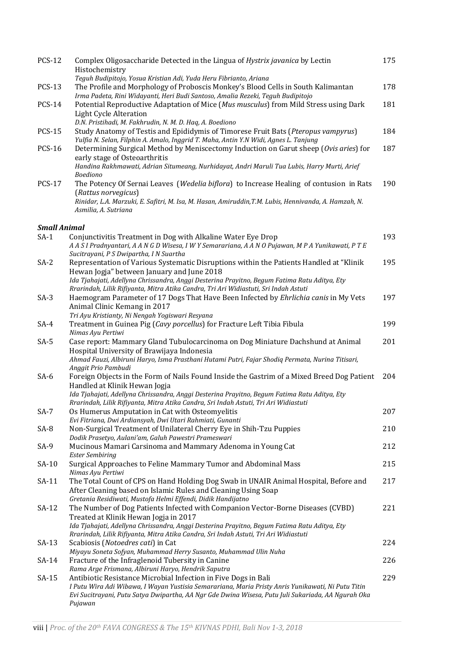| <b>PCS-12</b>                 | Complex Oligosaccharide Detected in the Lingua of Hystrix javanica by Lectin                                                                                              | 175 |
|-------------------------------|---------------------------------------------------------------------------------------------------------------------------------------------------------------------------|-----|
|                               | Histochemistry                                                                                                                                                            |     |
| <b>PCS-13</b>                 | Teguh Budipitojo, Yosua Kristian Adi, Yuda Heru Fibrianto, Ariana<br>The Profile and Morphology of Proboscis Monkey's Blood Cells in South Kalimantan                     | 178 |
|                               | Irma Padeta, Rini Widayanti, Heri Budi Santoso, Amalia Rezeki, Teguh Budipitojo                                                                                           |     |
| <b>PCS-14</b>                 | Potential Reproductive Adaptation of Mice (Mus musculus) from Mild Stress using Dark                                                                                      | 181 |
|                               | <b>Light Cycle Alteration</b>                                                                                                                                             |     |
|                               | D.N. Pristihadi, M. Fakhrudin, N. M. D. Haq, A. Boediono                                                                                                                  |     |
| <b>PCS-15</b>                 | Study Anatomy of Testis and Epididymis of Timorese Fruit Bats (Pteropus vampyrus)<br>Yulfia N. Selan, Filphin A. Amalo, Inggrid T. Maha, Antin Y.N Widi, Agnes L. Tanjung | 184 |
| <b>PCS-16</b>                 | Determining Surgical Method by Meniscectomy Induction on Garut sheep (Ovis aries) for                                                                                     | 187 |
|                               | early stage of Osteoarthritis                                                                                                                                             |     |
|                               | Handina Rakhmawati, Adrian Situmeang, Nurhidayat, Andri Maruli Tua Lubis, Harry Murti, Arief                                                                              |     |
|                               | Boediono                                                                                                                                                                  |     |
| <b>PCS-17</b>                 | The Potency Of Sernai Leaves (Wedelia biflora) to Increase Healing of contusion in Rats<br>(Rattus norvegicus)                                                            | 190 |
|                               | Rinidar, L.A. Marzuki, E. Safitri, M. Isa, M. Hasan, Amiruddin, T.M. Lubis, Hennivanda, A. Hamzah, N.                                                                     |     |
|                               | Asmilia, A. Sutriana                                                                                                                                                      |     |
|                               |                                                                                                                                                                           |     |
| <b>Small Animal</b><br>$SA-1$ | Conjunctivitis Treatment in Dog with Alkaline Water Eye Drop                                                                                                              | 193 |
|                               | A A S I Pradnyantari, A A N G D Wisesa, I W Y Semarariana, A A N O Pujawan, M P A Yunikawati, P T E                                                                       |     |
|                               | Sucitrayani, P S Dwipartha, I N Suartha                                                                                                                                   |     |
| $SA-2$                        | Representation of Various Systematic Disruptions within the Patients Handled at "Klinik                                                                                   | 195 |
|                               | Hewan Jogja" between January and June 2018<br>Ida Tjahajati, Adellyna Chrissandra, Anggi Desterina Prayitno, Begum Fatima Ratu Aditya, Ety                                |     |
|                               | Rrarindah, Lilik Rifiyanta, Mitra Atika Candra, Tri Ari Widiastuti, Sri Indah Astuti                                                                                      |     |
| $SA-3$                        | Haemogram Parameter of 17 Dogs That Have Been Infected by Ehrlichia canis in My Vets                                                                                      | 197 |
|                               | Animal Clinic Kemang in 2017                                                                                                                                              |     |
|                               | Tri Ayu Kristianty, Ni Nengah Yogiswari Resyana                                                                                                                           |     |
| $SA-4$                        | Treatment in Guinea Pig (Cavy porcellus) for Fracture Left Tibia Fibula<br>Nimas Ayu Pertiwi                                                                              | 199 |
| $SA-5$                        | Case report: Mammary Gland Tubulocarcinoma on Dog Miniature Dachshund at Animal                                                                                           | 201 |
|                               | Hospital University of Brawijaya Indonesia                                                                                                                                |     |
|                               | Ahmad Fauzi, Albiruni Haryo, Isma Prasthani Hutami Putri, Fajar Shodiq Permata, Nurina Titisari,                                                                          |     |
| SA-6                          | Anggit Prio Pambudi<br>Foreign Objects in the Form of Nails Found Inside the Gastrim of a Mixed Breed Dog Patient                                                         | 204 |
|                               | Handled at Klinik Hewan Jogja                                                                                                                                             |     |
|                               | Ida Tjahajati, Adellyna Chrissandra, Anggi Desterina Prayitno, Begum Fatima Ratu Aditya, Ety                                                                              |     |
|                               | Rrarindah, Lilik Rifiyanta, Mitra Atika Candra, Sri Indah Astuti, Tri Ari Widiastuti                                                                                      |     |
| $SA-7$                        | Os Humerus Amputation in Cat with Osteomyelitis<br>Evi Fitriana, Dwi Ardiansyah, Dwi Utari Rahmiati, Gunanti                                                              | 207 |
| $SA-8$                        | Non-Surgical Treatment of Unilateral Cherry Eye in Shih-Tzu Puppies                                                                                                       | 210 |
|                               | Dodik Prasetyo, Aulani'am, Galuh Pawestri Prameswari                                                                                                                      |     |
| $SA-9$                        | Mucinous Mamari Carsinoma and Mammary Adenoma in Young Cat                                                                                                                | 212 |
|                               | <b>Ester Sembiring</b>                                                                                                                                                    | 215 |
| SA-10                         | Surgical Approaches to Feline Mammary Tumor and Abdominal Mass<br>Nimas Ayu Pertiwi                                                                                       |     |
| SA-11                         | The Total Count of CPS on Hand Holding Dog Swab in UNAIR Animal Hospital, Before and                                                                                      | 217 |
|                               | After Cleaning based on Islamic Rules and Cleaning Using Soap                                                                                                             |     |
|                               | Gretania Residiwati, Mustofa Helmi Effendi, Didik Handijatno                                                                                                              |     |
| $SA-12$                       | The Number of Dog Patients Infected with Companion Vector-Borne Diseases (CVBD)<br>Treated at Klinik Hewan Jogja in 2017                                                  | 221 |
|                               | Ida Tjahajati, Adellyna Chrissandra, Anggi Desterina Prayitno, Begum Fatima Ratu Aditya, Ety                                                                              |     |
|                               | Rrarindah, Lilik Rifiyanta, Mitra Atika Candra, Sri Indah Astuti, Tri Ari Widiastuti                                                                                      |     |
| $SA-13$                       | Scabiosis (Notoedres cati) in Cat                                                                                                                                         | 224 |
|                               | Miyayu Soneta Sofyan, Muhammad Herry Susanto, Muhammad Ulin Nuha                                                                                                          |     |
| $SA-14$                       | Fracture of the Infraglenoid Tubersity in Canine<br>Rama Arge Frismana, Albiruni Haryo, Hendrik Saputra                                                                   | 226 |
| $SA-15$                       | Antibiotic Resistance Microbial Infection in Five Dogs in Bali                                                                                                            | 229 |
|                               | I Putu Wira Adi Wibawa, I Wayan Yustisia Semarariana, Maria Pristy Anris Yunikawati, Ni Putu Titin                                                                        |     |
|                               | Evi Sucitrayani, Putu Satya Dwipartha, AA Ngr Gde Dwina Wisesa, Putu Juli Sukariada, AA Ngurah Oka                                                                        |     |
|                               | Pujawan                                                                                                                                                                   |     |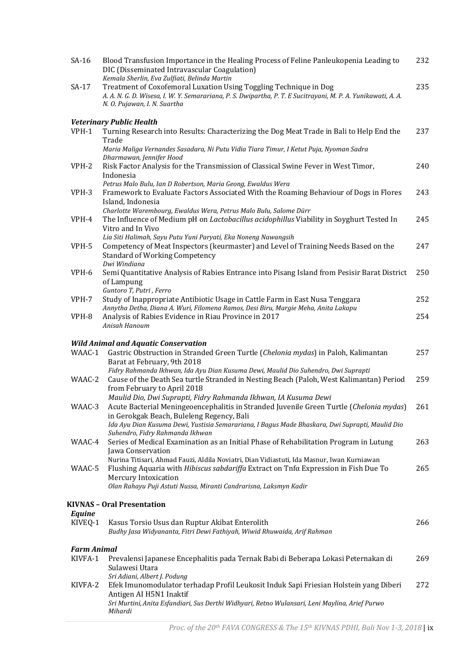| $SA-16$            | Blood Transfusion Importance in the Healing Process of Feline Panleukopenia Leading to<br>DIC (Disseminated Intravascular Coagulation)<br>Kemala Sherlin, Eva Zulfiati, Belinda Martin                             | 232 |
|--------------------|--------------------------------------------------------------------------------------------------------------------------------------------------------------------------------------------------------------------|-----|
| SA-17              | Treatment of Coxofemoral Luxation Using Toggling Technique in Dog<br>A. A. N. G. D. Wisesa, I. W. Y. Semarariana, P. S. Dwipartha, P. T. E Sucitrayani, M. P. A. Yunikawati, A. A.<br>N. O. Pujawan, I. N. Suartha | 235 |
|                    |                                                                                                                                                                                                                    |     |
| VPH-1              | <b>Veterinary Public Health</b><br>Turning Research into Results: Characterizing the Dog Meat Trade in Bali to Help End the                                                                                        | 237 |
|                    | Trade                                                                                                                                                                                                              |     |
|                    | Maria Maliga Vernandes Sasadara, Ni Putu Vidia Tiara Timur, I Ketut Puja, Nyoman Sadra                                                                                                                             |     |
| VPH-2              | Dharmawan, Jennifer Hood<br>Risk Factor Analysis for the Transmission of Classical Swine Fever in West Timor,                                                                                                      | 240 |
|                    | Indonesia                                                                                                                                                                                                          |     |
|                    | Petrus Malo Bulu, Ian D Robertson, Maria Geong, Ewaldus Wera                                                                                                                                                       |     |
| VPH-3              | Framework to Evaluate Factors Associated With the Roaming Behaviour of Dogs in Flores                                                                                                                              | 243 |
|                    | Island, Indonesia<br>Charlotte Warembourg, Ewaldus Wera, Petrus Malo Bulu, Salome Dürr                                                                                                                             |     |
| VPH-4              | The Influence of Medium pH on Lactobacillus acidophillus Viability in Soyghurt Tested In                                                                                                                           | 245 |
|                    | Vitro and In Vivo                                                                                                                                                                                                  |     |
| VPH-5              | Lia Siti Halimah, Sayu Putu Yuni Paryati, Eka Noneng Nawangsih<br>Competency of Meat Inspectors (keurmaster) and Level of Training Needs Based on the                                                              | 247 |
|                    | <b>Standard of Working Competency</b>                                                                                                                                                                              |     |
|                    | Dwi Windiana                                                                                                                                                                                                       |     |
| VPH-6              | Semi Quantitative Analysis of Rabies Entrance into Pisang Island from Pesisir Barat District                                                                                                                       | 250 |
|                    | of Lampung<br>Guntoro T, Putri, Ferro                                                                                                                                                                              |     |
| VPH-7              | Study of Inappropriate Antibiotic Usage in Cattle Farm in East Nusa Tenggara                                                                                                                                       | 252 |
|                    | Annytha Detha, Diana A. Wuri, Filomena Ramos, Desi Biru, Margie Meha, Anita Lakapu                                                                                                                                 |     |
| VPH-8              | Analysis of Rabies Evidence in Riau Province in 2017<br>Anisah Hanoum                                                                                                                                              | 254 |
|                    |                                                                                                                                                                                                                    |     |
|                    | <b>Wild Animal and Aquatic Conservation</b>                                                                                                                                                                        |     |
| WAAC-1             | Gastric Obstruction in Stranded Green Turtle (Chelonia mydas) in Paloh, Kalimantan<br>Barat at February, 9th 2018                                                                                                  | 257 |
|                    | Fidry Rahmanda Ikhwan, Ida Ayu Dian Kusuma Dewi, Maulid Dio Suhendro, Dwi Suprapti                                                                                                                                 |     |
| WAAC-2             | Cause of the Death Sea turtle Stranded in Nesting Beach (Paloh, West Kalimantan) Period                                                                                                                            | 259 |
|                    | from February to April 2018                                                                                                                                                                                        |     |
| WAAC-3             | Maulid Dio, Dwi Suprapti, Fidry Rahmanda Ikhwan, IA Kusuma Dewi<br>Acute Bacterial Meningeoencephalitis in Stranded Juvenile Green Turtle (Chelonia mydas) 261                                                     |     |
|                    | in Gerokgak Beach, Buleleng Regency, Bali                                                                                                                                                                          |     |
|                    | Ida Ayu Dian Kusuma Dewi, Yustisia Semarariana, I Bagus Made Bhaskara, Dwi Suprapti, Maulid Dio                                                                                                                    |     |
| WAAC-4             | Suhendro, Fidry Rahmanda Ikhwan<br>Series of Medical Examination as an Initial Phase of Rehabilitation Program in Lutung                                                                                           | 263 |
|                    | Jawa Conservation                                                                                                                                                                                                  |     |
|                    | Nurina Titisari, Ahmad Fauzi, Aldila Noviatri, Dian Vidiastuti, Ida Masnur, Iwan Kurniawan                                                                                                                         |     |
| WAAC-5             | Flushing Aquaria with <i>Hibiscus sabdariffa</i> Extract on Tnfα Expression in Fish Due To                                                                                                                         | 265 |
|                    | Mercury Intoxication<br>Olan Rahayu Puji Astuti Nussa, Miranti Candrarisna, Laksmyn Kadir                                                                                                                          |     |
|                    |                                                                                                                                                                                                                    |     |
|                    | <b>KIVNAS - Oral Presentation</b>                                                                                                                                                                                  |     |
| Equine<br>KIVEQ-1  | Kasus Torsio Usus dan Ruptur Akibat Enterolith                                                                                                                                                                     | 266 |
|                    | Budhy Jasa Widyananta, Fitri Dewi Fathiyah, Wiwid Rhuwaida, Arif Rahman                                                                                                                                            |     |
|                    |                                                                                                                                                                                                                    |     |
| <b>Farm Animal</b> |                                                                                                                                                                                                                    |     |
| KIVFA-1            | Prevalensi Japanese Encephalitis pada Ternak Babi di Beberapa Lokasi Peternakan di<br>Sulawesi Utara                                                                                                               | 269 |
|                    | Sri Adiani, Albert J. Podung                                                                                                                                                                                       |     |
| KIVFA-2            | Efek Imunomodulator terhadap Profil Leukosit Induk Sapi Friesian Holstein yang Diberi                                                                                                                              | 272 |
|                    | Antigen AI H5N1 Inaktif<br>Sri Murtini, Anita Esfandiari, Sus Derthi Widhyari, Retno Wulansari, Leni Maylina, Arief Purwo                                                                                          |     |
|                    | Mihardi                                                                                                                                                                                                            |     |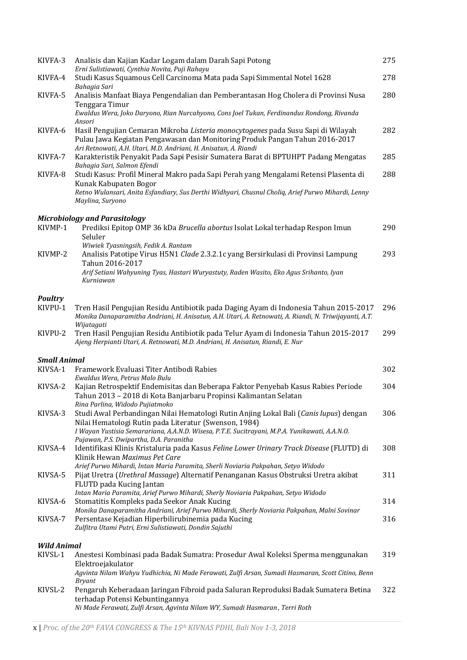| KIVFA-3             | Analisis dan Kajian Kadar Logam dalam Darah Sapi Potong<br>Erni Sulistiawati, Cynthia Novita, Puji Rahayu                                                                                                                                                              | 275 |
|---------------------|------------------------------------------------------------------------------------------------------------------------------------------------------------------------------------------------------------------------------------------------------------------------|-----|
| KIVFA-4             | Studi Kasus Squamous Cell Carcinoma Mata pada Sapi Simmental Notel 1628<br>Bahagia Sari                                                                                                                                                                                | 278 |
| KIVFA-5             | Analisis Manfaat Biaya Pengendalian dan Pemberantasan Hog Cholera di Provinsi Nusa<br>Tenggara Timur<br>Ewaldus Wera, Joko Daryono, Rian Nurcahyono, Cons Joel Tukan, Ferdinandus Rondong, Rivanda                                                                     | 280 |
| KIVFA-6             | Ansori<br>Hasil Pengujian Cemaran Mikroba Listeria monocytogenes pada Susu Sapi di Wilayah<br>Pulau Jawa Kegiatan Pengawasan dan Monitoring Produk Pangan Tahun 2016-2017<br>Ari Retnowati, A.H. Utari, M.D. Andriani, H. Anisatun, A. Riandi                          | 282 |
| KIVFA-7             | Karakteristik Penyakit Pada Sapi Pesisir Sumatera Barat di BPTUHPT Padang Mengatas                                                                                                                                                                                     | 285 |
| KIVFA-8             | Bahagia Sari, Salmon Efendi<br>Studi Kasus: Profil Mineral Makro pada Sapi Perah yang Mengalami Retensi Plasenta di<br>Kunak Kabupaten Bogor<br>Retno Wulansari, Anita Esfandiary, Sus Derthi Widhyari, Chusnul Choliq, Arief Purwo Mihardi, Lenny<br>Maylina, Suryono | 288 |
|                     | <b>Microbiology and Parasitology</b>                                                                                                                                                                                                                                   |     |
| KIVMP-1             | Prediksi Epitop OMP 36 kDa Brucella abortus Isolat Lokal terhadap Respon Imun<br>Seluler                                                                                                                                                                               | 290 |
| KIVMP-2             | Wiwiek Tyasningsih, Fedik A. Rantam<br>Analisis Patotipe Virus H5N1 Clade 2.3.2.1c yang Bersirkulasi di Provinsi Lampung<br>Tahun 2016-2017                                                                                                                            | 293 |
|                     | Arif Setiani Wahyuning Tyas, Hastari Wuryastuty, Raden Wasito, Eko Agus Srihanto, Iyan<br>Kurniawan                                                                                                                                                                    |     |
| <b>Poultry</b>      |                                                                                                                                                                                                                                                                        |     |
| KIVPU-1             | Tren Hasil Pengujian Residu Antibiotik pada Daging Ayam di Indonesia Tahun 2015-2017<br>Monika Danaparamitha Andriani, H. Anisatun, A.H. Utari, A. Retnowati, A. Riandi, N. Triwijayanti, A.T.                                                                         | 296 |
| KIVPU-2             | Wijatagati<br>Tren Hasil Pengujian Residu Antibiotik pada Telur Ayam di Indonesia Tahun 2015-2017<br>Ajeng Herpianti Utari, A. Retnowati, M.D. Andriani, H. Anisatun, Riandi, E. Nur                                                                                   | 299 |
| <b>Small Animal</b> |                                                                                                                                                                                                                                                                        |     |
| KIVSA-1             | Framework Evaluasi Titer Antibodi Rabies<br>Ewaldus Wera, Petrus Malo Bulu                                                                                                                                                                                             | 302 |
| KIVSA-2             | Kajian Retrospektif Endemisitas dan Beberapa Faktor Penyebab Kasus Rabies Periode<br>Tahun 2013 - 2018 di Kota Banjarbaru Propinsi Kalimantan Selatan<br>Rina Parlina, Widodo Pujiatmoko                                                                               | 304 |
| KIVSA-3             | Studi Awal Perbandingan Nilai Hematologi Rutin Anjing Lokal Bali (Canis lupus) dengan<br>Nilai Hematologi Rutin pada Literatur (Swenson, 1984)<br>I Wayan Yustisia Semarariana, A.A.N.D. Wisesa, P.T.E. Sucitrayani, M.P.A. Yunikawati, A.A.N.O.                       | 306 |
| KIVSA-4             | Pujawan, P.S. Dwipartha, D.A. Paranitha<br>Identifikasi Klinis Kristaluria pada Kasus Feline Lower Urinary Track Disease (FLUTD) di                                                                                                                                    | 308 |
|                     | Klinik Hewan Maximus Pet Care<br>Arief Purwo Mihardi, Intan Maria Paramita, Sherli Noviaria Pakpahan, Setyo Widodo                                                                                                                                                     |     |
| KIVSA-5             | Pijat Uretra (Urethral Massage) Alternatif Penanganan Kasus Obstruksi Uretra akibat<br>FLUTD pada Kucing Jantan                                                                                                                                                        | 311 |
| KIVSA-6             | Intan Maria Paramita, Arief Purwo Mihardi, Sherly Noviaria Pakpahan, Setyo Widodo<br>Stomatitis Kompleks pada Seekor Anak Kucing<br>Monika Danaparamitha Andriani, Arief Purwo Mihardi, Sherly Noviaria Pakpahan, Malni Sovinar                                        | 314 |
| KIVSA-7             | Persentase Kejadian Hiperbilirubinemia pada Kucing<br>Zulfitra Utami Putri, Erni Sulistiawati, Dondin Sajuthi                                                                                                                                                          | 316 |
| <b>Wild Animal</b>  |                                                                                                                                                                                                                                                                        |     |
| KIVSL-1             | Anestesi Kombinasi pada Badak Sumatra: Prosedur Awal Koleksi Sperma menggunakan<br>Elektroejakulator                                                                                                                                                                   | 319 |
|                     | Agvinta Nilam Wahyu Yudhichia, Ni Made Ferawati, Zulfi Arsan, Sumadi Hasmaran, Scott Citino, Benn<br><b>Bryant</b>                                                                                                                                                     |     |
| KIVSL-2             | Pengaruh Keberadaan Jaringan Fibroid pada Saluran Reproduksi Badak Sumatera Betina<br>terhadap Potensi Kebuntingannya<br>Ni Made Ferawati, Zulfi Arsan, Agvinta Nilam WY, Sumadi Hasmaran, Terri Roth                                                                  | 322 |
|                     |                                                                                                                                                                                                                                                                        |     |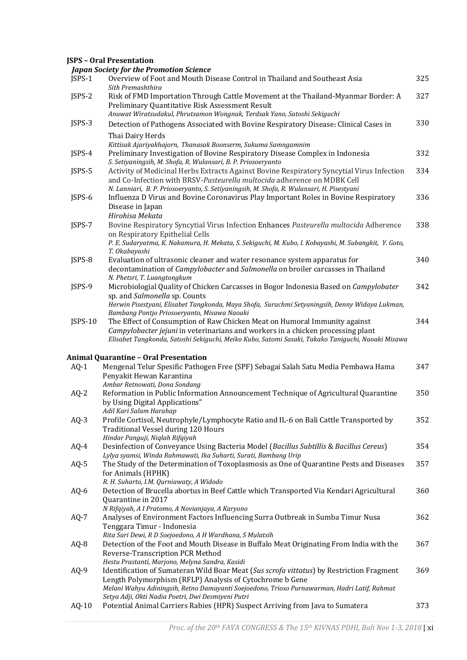## **JSPS – Oral Presentation**

|          | <b>Japan Society for the Promotion Science</b>                                                                                                                                                                                                                    |     |
|----------|-------------------------------------------------------------------------------------------------------------------------------------------------------------------------------------------------------------------------------------------------------------------|-----|
| $JSPS-1$ | Overview of Foot and Mouth Disease Control in Thailand and Southeast Asia<br>Sith Premashthira                                                                                                                                                                    | 325 |
| JSPS-2   | Risk of FMD Importation Through Cattle Movement at the Thailand-Myanmar Border: A<br>Preliminary Quantitative Risk Assessment Result<br>Anuwat Wiratsudakul, Phrutsamon Wongnak, Terdsak Yano, Satoshi Sekiguchi                                                  | 327 |
| JSPS-3   | Detection of Pathogens Associated with Bovine Respiratory Disease: Clinical Cases in                                                                                                                                                                              | 330 |
|          | Thai Dairy Herds                                                                                                                                                                                                                                                  |     |
|          | Kittisak Ajariyakhajorn, Thanasak Boonserm, Sukuma Samngamnim                                                                                                                                                                                                     |     |
| JSPS-4   | Preliminary Investigation of Bovine Respiratory Disease Complex in Indonesia                                                                                                                                                                                      | 332 |
| JSPS-5   | S. Setiyaningsih, M. Shofa, R. Wulansari, B. P. Priosoeryanto                                                                                                                                                                                                     | 334 |
|          | Activity of Medicinal Herbs Extracts Against Bovine Respiratory Syncytial Virus Infection<br>and Co-Infection with BRSV-Pasteurella multocida adherence on MDBK Cell<br>N. Lanniari, B. P. Priosoeryanto, S. Setiyaningsih, M. Shofa, R. Wulansari, H. Pisestyani |     |
| JSPS-6   | Influenza D Virus and Bovine Coronavirus Play Important Roles in Bovine Respiratory                                                                                                                                                                               | 336 |
|          | Disease in Japan                                                                                                                                                                                                                                                  |     |
|          | Hirohisa Mekata                                                                                                                                                                                                                                                   |     |
| JSPS-7   | Bovine Respiratory Syncytial Virus Infection Enhances Pasteurella multocida Adherence<br>on Respiratory Epithelial Cells                                                                                                                                          | 338 |
|          | P. E. Sudaryatma, K. Nakamura, H. Mekata, S. Sekiguchi, M. Kubo, I. Kobayashi, M. Subangkit, Y. Goto,                                                                                                                                                             |     |
|          | T. Okabayashi                                                                                                                                                                                                                                                     |     |
| JSPS-8   | Evaluation of ultrasonic cleaner and water resonance system apparatus for                                                                                                                                                                                         | 340 |
|          | decontamination of <i>Campylobacter</i> and <i>Salmonella</i> on broiler carcasses in Thailand                                                                                                                                                                    |     |
| JSPS-9   | N. Phetsri, T. Luangtongkum<br>Microbiologial Quality of Chicken Carcasses in Bogor Indonesia Based on Campylobater                                                                                                                                               | 342 |
|          | sp. and Salmonella sp. Counts                                                                                                                                                                                                                                     |     |
|          | Herwin Pisestyani, Elisabet Tangkonda, Maya Shofa, Surachmi Setyaningsih, Denny Widaya Lukman,                                                                                                                                                                    |     |
|          | Bambang Pontjo Priosoeryanto, Misawa Naoaki                                                                                                                                                                                                                       |     |
| JSPS-10  | The Effect of Consumption of Raw Chicken Meat on Humoral Immunity against                                                                                                                                                                                         | 344 |
|          | Campylobacter jejuni in veterinarians and workers in a chicken processing plant<br>Elisabet Tangkonda, Satoshi Sekiguchi, Meiko Kubo, Satomi Sasaki, Takako Taniguchi, Naoaki Misawa                                                                              |     |
|          | <b>Animal Quarantine - Oral Presentation</b>                                                                                                                                                                                                                      |     |
| $AQ-1$   | Mengenal Telur Spesific Pathogen Free (SPF) Sebagai Salah Satu Media Pembawa Hama                                                                                                                                                                                 | 347 |
|          | Penyakit Hewan Karantina                                                                                                                                                                                                                                          |     |
|          | Ambar Retnowati, Dona Sondang                                                                                                                                                                                                                                     |     |
| $AQ-2$   | Reformation in Public Information Announcement Technique of Agricultural Quarantine                                                                                                                                                                               | 350 |
|          | by Using Digital Applications"<br>Adil Kari Salam Harahap                                                                                                                                                                                                         |     |
| $AQ-3$   | Profile Cortisol, Neutrophyle/Lymphocyte Ratio and IL-6 on Bali Cattle Transported by                                                                                                                                                                             | 352 |
|          | Traditional Vessel during 120 Hours                                                                                                                                                                                                                               |     |
|          | Hindar Panguji, Niqlah Rifqiyah                                                                                                                                                                                                                                   |     |
| $AQ-4$   | Desinfection of Conveyance Using Bacteria Model (Bacillus Subtillis & Bacillus Cereus)                                                                                                                                                                            | 354 |
| $AQ-5$   | Lylya syamsi, Winda Rahmawati, Ika Suharti, Surati, Bambang Urip<br>The Study of the Determination of Toxoplasmosis as One of Quarantine Pests and Diseases                                                                                                       | 357 |
|          | for Animals (HPHK)                                                                                                                                                                                                                                                |     |
|          | R. H. Suharto, I.M. Qurniawaty, A Widodo                                                                                                                                                                                                                          |     |
| $AQ-6$   | Detection of Brucella abortus in Beef Cattle which Transported Via Kendari Agricultural                                                                                                                                                                           | 360 |
|          | Quarantine in 2017                                                                                                                                                                                                                                                |     |
| $AQ-7$   | N Rifqiyah, A I Pratomo, A Novianjaya, A Karyono<br>Analyses of Environment Factors Influencing Surra Outbreak in Sumba Timur Nusa                                                                                                                                | 362 |
|          | Tenggara Timur - Indonesia                                                                                                                                                                                                                                        |     |
|          | Rita Sari Dewi, R D Soejoedono, A H Wardhana, S Mulatsih                                                                                                                                                                                                          |     |
| AQ-8     | Detection of the Foot and Mouth Disease in Buffalo Meat Originating From India with the                                                                                                                                                                           | 367 |
|          | Reverse-Transcription PCR Method                                                                                                                                                                                                                                  |     |
|          | Hestu Prastanti, Marjono, Melyna Sandra, Kasidi                                                                                                                                                                                                                   |     |
| $AQ-9$   | Identification of Sumateran Wild Boar Meat (Sus scrofa vittatus) by Restriction Fragment<br>Length Polymorphism (RFLP) Analysis of Cytochrome b Gene                                                                                                              | 369 |
|          | Melani Wahyu Adiningsih, Retno Damayanti Soejoedono, Trioso Purnawarman, Hadri Latif, Rahmat                                                                                                                                                                      |     |
|          | Setya Adji, Okti Nadia Poetri, Dwi Desmiyeni Putri                                                                                                                                                                                                                |     |
| $AQ-10$  | Potential Animal Carriers Rabies (HPR) Suspect Arriving from Java to Sumatera                                                                                                                                                                                     | 373 |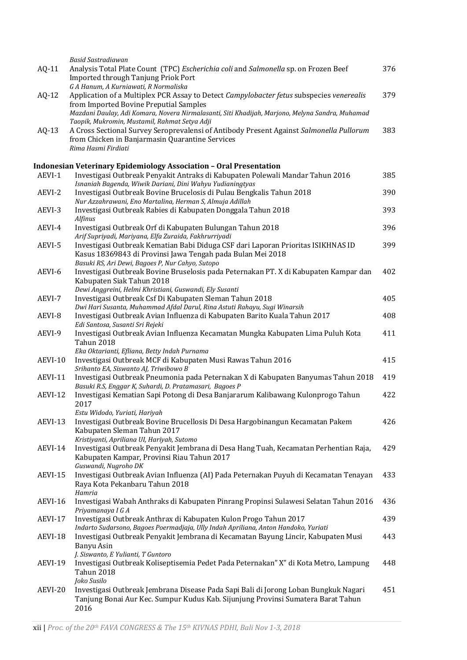|         | Basid Sastradiawan                                                                              |     |
|---------|-------------------------------------------------------------------------------------------------|-----|
| $AQ-11$ | Analysis Total Plate Count (TPC) Escherichia coli and Salmonella sp. on Frozen Beef             | 376 |
|         | Imported through Tanjung Priok Port                                                             |     |
|         | G A Hanum, A Kurniawati, R Normaliska                                                           |     |
| $AQ-12$ | Application of a Multiplex PCR Assay to Detect Campylobacter fetus subspecies venerealis        | 379 |
|         | from Imported Bovine Preputial Samples                                                          |     |
|         | Mazdani Daulay, Adi Komara, Novera Nirmalasanti, Siti Khadijah, Marjono, Melyna Sandra, Muhamad |     |
|         | Taopik, Mukromin, Mustamil, Rahmat Setya Adji                                                   |     |
|         |                                                                                                 | 383 |
| $AQ-13$ | A Cross Sectional Survey Seroprevalensi of Antibody Present Against Salmonella Pullorum         |     |
|         | from Chicken in Banjarmasin Quarantine Services                                                 |     |
|         | Rima Hasmi Firdiati                                                                             |     |
|         |                                                                                                 |     |
|         | <b>Indonesian Veterinary Epidemiology Association - Oral Presentation</b>                       |     |
| AEVI-1  | Investigasi Outbreak Penyakit Antraks di Kabupaten Polewali Mandar Tahun 2016                   | 385 |
|         | Isnaniah Bagenda, Wiwik Dariani, Dini Wahyu Yudianingtyas                                       |     |
| AEVI-2  | Investigasi Outbreak Bovine Brucelosis di Pulau Bengkalis Tahun 2018                            | 390 |
|         | Nur Azzahrawani, Eno Martalina, Herman S, Almuja Adillah                                        |     |
| AEVI-3  | Investigasi Outbreak Rabies di Kabupaten Donggala Tahun 2018                                    | 393 |
|         | Alfinus                                                                                         |     |
| AEVI-4  | Investigasi Outbreak Orf di Kabupaten Bulungan Tahun 2018                                       | 396 |
|         | Arif Supriyadi, Mariyana, Elfa Zuraida, Fakhrurriyadi                                           |     |
| AEVI-5  | Investigasi Outbreak Kematian Babi Diduga CSF dari Laporan Prioritas ISIKHNAS ID                | 399 |
|         | Kasus 18369843 di Provinsi Jawa Tengah pada Bulan Mei 2018                                      |     |
|         | Basuki RS, Ari Dewi, Bagoes P, Nur Cahyo, Sutopo                                                |     |
| AEVI-6  | Investigasi Outbreak Bovine Bruselosis pada Peternakan PT. X di Kabupaten Kampar dan            | 402 |
|         | Kabupaten Siak Tahun 2018                                                                       |     |
|         | Dewi Anggreini, Helmi Khristiani, Guswandi, Ely Susanti                                         |     |
| AEVI-7  | Investigasi Outbreak Csf Di Kabupaten Sleman Tahun 2018                                         | 405 |
|         | Dwi Hari Susanta, Muhammad Afdal Darul, Rina Astuti Rahayu, Sugi Winarsih                       |     |
|         |                                                                                                 |     |
| AEVI-8  | Investigasi Outbreak Avian Influenza di Kabupaten Barito Kuala Tahun 2017                       | 408 |
|         | Edi Santosa, Susanti Sri Rejeki                                                                 |     |
| AEVI-9  | Investigasi Outbreak Avian Influenza Kecamatan Mungka Kabupaten Lima Puluh Kota                 | 411 |
|         | <b>Tahun 2018</b>                                                                               |     |
|         | Eka Oktarianti, Efliana, Betty Indah Purnama                                                    |     |
| AEVI-10 | Investigasi Outbreak MCF di Kabupaten Musi Rawas Tahun 2016                                     | 415 |
|         | Srihanto EA, Siswanto AJ, Triwibowo B                                                           |     |
| AEVI-11 | Investigasi Outbreak Pneumonia pada Peternakan X di Kabupaten Banyumas Tahun 2018               | 419 |
|         | Basuki R.S, Enggar K, Suhardi, D. Pratamasari, Bagoes P                                         |     |
| AEVI-12 | Investigasi Kematian Sapi Potong di Desa Banjararum Kalibawang Kulonprogo Tahun                 | 422 |
|         | 2017                                                                                            |     |
|         | Estu Widodo, Yuriati, Hariyah                                                                   |     |
| AEVI-13 | Investigasi Outbreak Bovine Brucellosis Di Desa Hargobinangun Kecamatan Pakem                   | 426 |
|         | Kabupaten Sleman Tahun 2017                                                                     |     |
|         | Kristiyanti, Apriliana UI, Hariyah, Sutomo                                                      |     |
| AEVI-14 | Investigasi Outbreak Penyakit Jembrana di Desa Hang Tuah, Kecamatan Perhentian Raja,            | 429 |
|         | Kabupaten Kampar, Provinsi Riau Tahun 2017                                                      |     |
|         | Guswandi, Nugroho DK                                                                            |     |
| AEVI-15 | Investigasi Outbreak Avian Influenza (AI) Pada Peternakan Puyuh di Kecamatan Tenayan            | 433 |
|         | Raya Kota Pekanbaru Tahun 2018                                                                  |     |
|         | Hamria                                                                                          |     |
| AEVI-16 | Investigasi Wabah Anthraks di Kabupaten Pinrang Propinsi Sulawesi Selatan Tahun 2016            | 436 |
|         | Priyamanaya I G A                                                                               |     |
| AEVI-17 | Investigasi Outbreak Anthrax di Kabupaten Kulon Progo Tahun 2017                                | 439 |
|         | Indarto Sudarsono, Bagoes Poermadjaja, Ully Indah Apriliana, Anton Handoko, Yuriati             |     |
|         |                                                                                                 |     |
| AEVI-18 | Investigasi Outbreak Penyakit Jembrana di Kecamatan Bayung Lincir, Kabupaten Musi               | 443 |
|         | Banyu Asin                                                                                      |     |
|         | J. Siswanto, E Yulianti, T Guntoro                                                              |     |
| AEVI-19 | Investigasi Outbreak Koliseptisemia Pedet Pada Peternakan" X" di Kota Metro, Lampung            | 448 |
|         | Tahun 2018                                                                                      |     |
|         | Joko Susilo                                                                                     |     |
| AEVI-20 | Investigasi Outbreak Jembrana Disease Pada Sapi Bali di Jorong Loban Bungkuk Nagari             | 451 |
|         | Tanjung Bonai Aur Kec. Sumpur Kudus Kab. Sijunjung Provinsi Sumatera Barat Tahun                |     |
|         | 2016                                                                                            |     |
|         |                                                                                                 |     |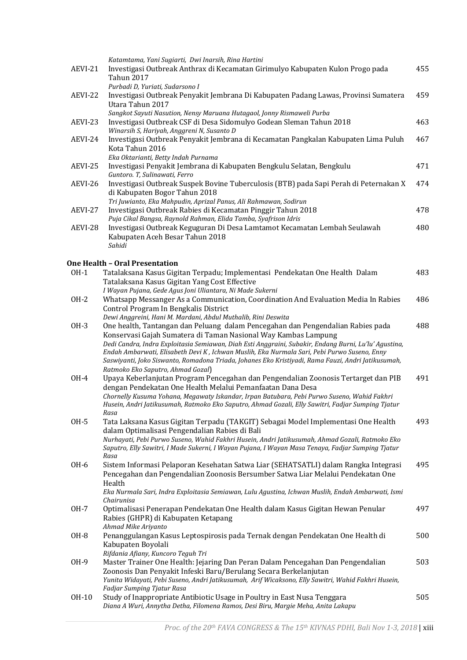|             | Katamtama, Yani Sugiarti, Dwi Inarsih, Rina Hartini                                                                                                                     |     |
|-------------|-------------------------------------------------------------------------------------------------------------------------------------------------------------------------|-----|
| AEVI-21     | Investigasi Outbreak Anthrax di Kecamatan Girimulyo Kabupaten Kulon Progo pada                                                                                          | 455 |
|             | <b>Tahun 2017</b>                                                                                                                                                       |     |
|             | Purbadi D, Yuriati, Sudarsono I                                                                                                                                         |     |
| AEVI-22     | Investigasi Outbreak Penyakit Jembrana Di Kabupaten Padang Lawas, Provinsi Sumatera                                                                                     | 459 |
|             | Utara Tahun 2017                                                                                                                                                        |     |
|             | Sangkot Sayuti Nasution, Nensy Maruana Hutagaol, Jonny Rismaweli Purba                                                                                                  |     |
| AEVI-23     | Investigasi Outbreak CSF di Desa Sidomulyo Godean Sleman Tahun 2018                                                                                                     | 463 |
|             | Winarsih S, Hariyah, Anggreni N, Susanto D                                                                                                                              |     |
| AEVI-24     | Investigasi Outbreak Penyakit Jembrana di Kecamatan Pangkalan Kabupaten Lima Puluh                                                                                      | 467 |
|             | Kota Tahun 2016                                                                                                                                                         |     |
|             | Eka Oktarianti, Betty Indah Purnama                                                                                                                                     |     |
| AEVI-25     | Investigasi Penyakit Jembrana di Kabupaten Bengkulu Selatan, Bengkulu                                                                                                   | 471 |
|             | Guntoro. T, Sulinawati, Ferro                                                                                                                                           |     |
| AEVI-26     | Investigasi Outbreak Suspek Bovine Tuberculosis (BTB) pada Sapi Perah di Peternakan X                                                                                   | 474 |
|             | di Kabupaten Bogor Tahun 2018                                                                                                                                           |     |
|             | Tri Juwianto, Eka Mahpudin, Aprizal Panus, Ali Rahmawan, Sodirun                                                                                                        |     |
| AEVI-27     | Investigasi Outbreak Rabies di Kecamatan Pinggir Tahun 2018                                                                                                             | 478 |
|             | Puja Cikal Bangsa, Raynold Rahman, Elida Tamba, Syafrison Idris                                                                                                         |     |
| AEVI-28     | Investigasi Outbreak Keguguran Di Desa Lamtamot Kecamatan Lembah Seulawah                                                                                               | 480 |
|             | Kabupaten Aceh Besar Tahun 2018                                                                                                                                         |     |
|             | Sahidi                                                                                                                                                                  |     |
|             |                                                                                                                                                                         |     |
|             | One Health – Oral Presentation                                                                                                                                          |     |
| $OH-1$      | Tatalaksana Kasus Gigitan Terpadu; Implementasi Pendekatan One Health Dalam                                                                                             | 483 |
|             | Tatalaksana Kasus Gigitan Yang Cost Effective                                                                                                                           |     |
|             | I Wayan Pujana, Gede Agus Joni Uliantara, Ni Made Sukerni                                                                                                               |     |
| $OH-2$      | Whatsapp Messanger As a Communication, Coordination And Evaluation Media In Rabies                                                                                      | 486 |
|             | Control Program In Bengkalis District                                                                                                                                   |     |
| OH-3        | Dewi Anggreini, Hani M. Mardani, Abdul Muthalib, Rini Deswita                                                                                                           | 488 |
|             | One health, Tantangan dan Peluang dalam Pencegahan dan Pengendalian Rabies pada                                                                                         |     |
|             | Konservasi Gajah Sumatera di Taman Nasional Way Kambas Lampung<br>Dedi Candra, Indra Exploitasia Semiawan, Diah Esti Anggraini, Subakir, Endang Burni, Lu'lu' Agustina, |     |
|             | Endah Ambarwati, Elisabeth Devi K, Ichwan Muslih, Eka Nurmala Sari, Pebi Purwo Suseno, Enny                                                                             |     |
|             | Saswiyanti, Joko Siswanto, Romadona Triada, Johanes Eko Kristiyadi, Rama Fauzi, Andri Jatikusumah,                                                                      |     |
|             | Ratmoko Eko Saputro, Ahmad Gozal)                                                                                                                                       |     |
| OH-4        | Upaya Keberlanjutan Program Pencegahan dan Pengendalian Zoonosis Tertarget dan PIB                                                                                      | 491 |
|             | dengan Pendekatan One Health Melalui Pemanfaatan Dana Desa                                                                                                              |     |
|             | Chornelly Kusuma Yohana, Megawaty Iskandar, Irpan Batubara, Pebi Purwo Suseno, Wahid Fakhri                                                                             |     |
|             | Husein, Andri Jatikusumah, Ratmoko Eko Saputro, Ahmad Gozali, Elly Sawitri, Fadjar Sumping Tjatur                                                                       |     |
|             | Rasa                                                                                                                                                                    |     |
| 0H-5        | Tata Laksana Kasus Gigitan Terpadu (TAKGIT) Sebagai Model Implementasi One Health                                                                                       | 493 |
|             | dalam Optimalisasi Pengendalian Rabies di Bali                                                                                                                          |     |
|             | Nurhayati, Pebi Purwo Suseno, Wahid Fakhri Husein, Andri Jatikusumah, Ahmad Gozali, Ratmoko Eko                                                                         |     |
|             | Saputro, Elly Sawitri, I Made Sukerni, I Wayan Pujana, I Wayan Masa Tenaya, Fadjar Sumping Tjatur                                                                       |     |
|             | Rasa                                                                                                                                                                    |     |
| OH-6        | Sistem Informasi Pelaporan Kesehatan Satwa Liar (SEHATSATLI) dalam Rangka Integrasi                                                                                     | 495 |
|             | Pencegahan dan Pengendalian Zoonosis Bersumber Satwa Liar Melalui Pendekatan One                                                                                        |     |
|             | Health                                                                                                                                                                  |     |
|             | Eka Nurmala Sari, Indra Exploitasia Semiawan, Lulu Agustina, Ichwan Muslih, Endah Ambarwati, Ismi                                                                       |     |
|             | Chairunisa                                                                                                                                                              |     |
| 0H-7        | Optimalisasi Penerapan Pendekatan One Health dalam Kasus Gigitan Hewan Penular                                                                                          | 497 |
|             | Rabies (GHPR) di Kabupaten Ketapang                                                                                                                                     |     |
|             | Ahmad Mike Ariyanto                                                                                                                                                     |     |
| <b>OH-8</b> | Penanggulangan Kasus Leptospirosis pada Ternak dengan Pendekatan One Health di                                                                                          | 500 |
|             | Kabupaten Boyolali                                                                                                                                                      |     |
|             | Rifdania Afiany, Kuncoro Teguh Tri                                                                                                                                      |     |
| OH-9        | Master Trainer One Health: Jejaring Dan Peran Dalam Pencegahan Dan Pengendalian                                                                                         | 503 |
|             | Zoonosis Dan Penyakit Infeski Baru/Berulang Secara Berkelanjutan                                                                                                        |     |
|             | Yunita Widayati, Pebi Suseno, Andri Jatikusumah, Arif Wicaksono, Elly Sawitri, Wahid Fakhri Husein,<br>Fadjar Sumping Tjatur Rasa                                       |     |
| OH-10       | Study of Inappropriate Antibiotic Usage in Poultry in East Nusa Tenggara                                                                                                | 505 |
|             | Diana A Wuri, Annytha Detha, Filomena Ramos, Desi Biru, Margie Meha, Anita Lakapu                                                                                       |     |
|             |                                                                                                                                                                         |     |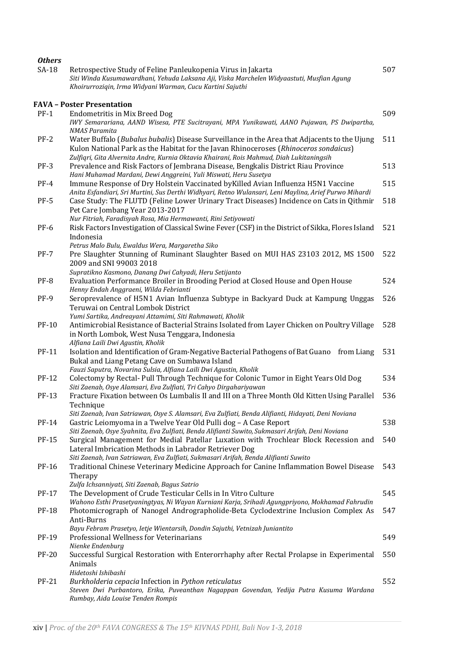| <b>Others</b> |                                                                                                                                                                                      |     |
|---------------|--------------------------------------------------------------------------------------------------------------------------------------------------------------------------------------|-----|
| $SA-18$       | Retrospective Study of Feline Panleukopenia Virus in Jakarta<br>Siti Winda Kusumawardhani, Yehuda Laksana Aji, Viska Marchelen Widyaastuti, Musfian Agung                            | 507 |
|               | Khoirurroziqin, Irma Widyani Warman, Cucu Kartini Sajuthi                                                                                                                            |     |
|               | <b>FAVA - Poster Presentation</b>                                                                                                                                                    |     |
| $PF-1$        | <b>Endometritis in Mix Breed Dog</b>                                                                                                                                                 | 509 |
|               | IWY Semarariana, AAND Wisesa, PTE Sucitrayani, MPA Yunikawati, AANO Pujawan, PS Dwipartha,                                                                                           |     |
| $PF-2$        | <b>NMAS Paramita</b>                                                                                                                                                                 | 511 |
|               | Water Buffalo (Bubalus bubalis) Disease Surveillance in the Area that Adjacents to the Ujung<br>Kulon National Park as the Habitat for the Javan Rhinoceroses (Rhinoceros sondaicus) |     |
|               | Zulfiqri, Gita Alvernita Andre, Kurnia Oktavia Khairani, Rois Mahmud, Diah Lukitaningsih                                                                                             |     |
| $PF-3$        | Prevalence and Risk Factors of Jembrana Disease, Bengkalis District Riau Province                                                                                                    | 513 |
|               | Hani Muhamad Mardani, Dewi Anggreini, Yuli Miswati, Heru Susetya                                                                                                                     |     |
| $PF-4$        | Immune Response of Dry Holstein Vaccinated by Killed Avian Influenza H5N1 Vaccine                                                                                                    | 515 |
|               | Anita Esfandiari, Sri Murtini, Sus Derthi Widhyari, Retno Wulansari, Leni Maylina, Arief Purwo Mihardi                                                                               |     |
| $PF-5$        | Case Study: The FLUTD (Feline Lower Urinary Tract Diseases) Incidence on Cats in Qithmir<br>Pet Care Jombang Year 2013-2017                                                          | 518 |
|               | Nur Fitriah, Faradisyah Rosa, Mia Hermawanti, Rini Setiyowati                                                                                                                        |     |
| <b>PF-6</b>   | Risk Factors Investigation of Classical Swine Fever (CSF) in the District of Sikka, Flores Island                                                                                    | 521 |
|               | Indonesia                                                                                                                                                                            |     |
|               | Petrus Malo Bulu, Ewaldus Wera, Margaretha Siko                                                                                                                                      |     |
| $PF-7$        | Pre Slaughter Stunning of Ruminant Slaughter Based on MUI HAS 23103 2012, MS 1500                                                                                                    | 522 |
|               | 2009 and SNI 99003 2018                                                                                                                                                              |     |
| PF-8          | Supratikno Kasmono, Danang Dwi Cahyadi, Heru Setijanto<br>Evaluation Performance Broiler in Brooding Period at Closed House and Open House                                           | 524 |
|               | Henny Endah Anggraeni, Wilda Febrianti                                                                                                                                               |     |
| PF-9          | Seroprevalence of H5N1 Avian Influenza Subtype in Backyard Duck at Kampung Unggas                                                                                                    | 526 |
|               | Teruwai on Central Lombok District                                                                                                                                                   |     |
|               | Yumi Sartika, Andreayani Attamimi, Siti Rahmawati, Kholik                                                                                                                            |     |
| PF-10         | Antimicrobial Resistance of Bacterial Strains Isolated from Layer Chicken on Poultry Village                                                                                         | 528 |
|               | in North Lombok, West Nusa Tenggara, Indonesia<br>Alfiana Laili Dwi Agustin, Kholik                                                                                                  |     |
| PF-11         | Isolation and Identification of Gram-Negative Bacterial Pathogens of Bat Guano<br>from Liang                                                                                         | 531 |
|               | Bukal and Liang Petang Cave on Sumbawa Island                                                                                                                                        |     |
|               | Fauzi Saputra, Novarina Sulsia, Alfiana Laili Dwi Agustin, Kholik                                                                                                                    |     |
| PF-12         | Colectomy by Rectal- Pull Through Technique for Colonic Tumor in Eight Years Old Dog                                                                                                 | 534 |
|               | Siti Zaenab, Osye Alamsari, Eva Zulfiati, Tri Cahyo Dirgahariyawan                                                                                                                   |     |
| <b>PF-13</b>  | Fracture Fixation between Os Lumbalis II and III on a Three Month Old Kitten Using Parallel<br>Technique                                                                             | 536 |
|               | Siti Zaenab, Ivan Satriawan, Osye S. Alamsari, Eva Zulfiati, Benda Alifianti, Hidayati, Deni Noviana                                                                                 |     |
| PF-14         | Gastric Leiomyoma in a Twelve Year Old Pulli dog - A Case Report                                                                                                                     | 538 |
|               | Siti Zaenab, Osye Syahnita, Eva Zulfiati, Benda Alifianti Suwito, Sukmasari Arifah, Deni Noviana                                                                                     |     |
| <b>PF-15</b>  | Surgical Management for Medial Patellar Luxation with Trochlear Block Recession and                                                                                                  | 540 |
|               | Lateral Imbrication Methods in Labrador Retriever Dog                                                                                                                                |     |
| PF-16         | Siti Zaenab, Ivan Satriawan, Eva Zulfiati, Sukmasari Arifah, Benda Alifianti Suwito<br>Traditional Chinese Veterinary Medicine Approach for Canine Inflammation Bowel Disease        | 543 |
|               | Therapy                                                                                                                                                                              |     |
|               | Zulfa Ichsanniyati, Siti Zaenab, Bagus Satrio                                                                                                                                        |     |
| PF-17         | The Development of Crude Testicular Cells in In Vitro Culture                                                                                                                        | 545 |
|               | Wahono Esthi Prasetyaningtyas, Ni Wayan Kurniani Karja, Srihadi Agungpriyono, Mokhamad Fahrudin                                                                                      |     |
| <b>PF-18</b>  | Photomicrograph of Nanogel Andrographolide-Beta Cyclodextrine Inclusion Complex As                                                                                                   | 547 |
|               | Anti-Burns                                                                                                                                                                           |     |
| PF-19         | Bayu Febram Prasetyo, Ietje Wientarsih, Dondin Sajuthi, Vetnizah Juniantito<br>Professional Wellness for Veterinarians                                                               | 549 |
|               | Nienke Endenburg                                                                                                                                                                     |     |
| <b>PF-20</b>  | Successful Surgical Restoration with Enterorrhaphy after Rectal Prolapse in Experimental                                                                                             | 550 |
|               | Animals                                                                                                                                                                              |     |
|               | Hidetoshi Ishibashi                                                                                                                                                                  |     |
| <b>PF-21</b>  | Burkholderia cepacia Infection in Python reticulatus<br>Steven Dwi Purbantoro, Erika, Puveanthan Nagappan Govendan, Yedija Putra Kusuma Wardana                                      | 552 |
|               | Rumbay, Aida Louise Tenden Rompis                                                                                                                                                    |     |
|               |                                                                                                                                                                                      |     |